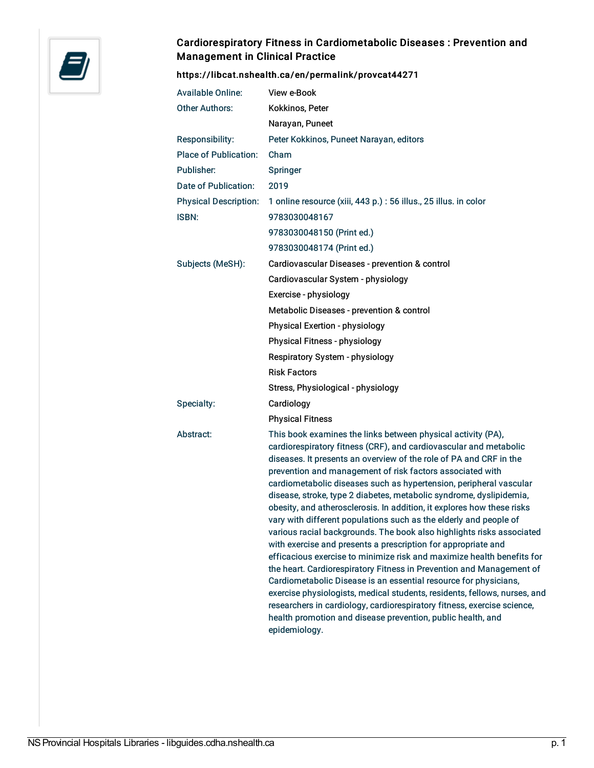

## Cardiorespiratory Fitness in Cardiometabolic Diseases : Prevention and Management in Clinical Practice

## <https://libcat.nshealth.ca/en/permalink/provcat44271>

| <b>Available Online:</b>     | View e-Book                                                                                                                                                                                                                                                                                                                                                                                                                                                                                                                                                                                                                                                                                                                                                                                                                                                                                                                                                                                                                                                                                                                                                              |
|------------------------------|--------------------------------------------------------------------------------------------------------------------------------------------------------------------------------------------------------------------------------------------------------------------------------------------------------------------------------------------------------------------------------------------------------------------------------------------------------------------------------------------------------------------------------------------------------------------------------------------------------------------------------------------------------------------------------------------------------------------------------------------------------------------------------------------------------------------------------------------------------------------------------------------------------------------------------------------------------------------------------------------------------------------------------------------------------------------------------------------------------------------------------------------------------------------------|
| <b>Other Authors:</b>        | Kokkinos, Peter                                                                                                                                                                                                                                                                                                                                                                                                                                                                                                                                                                                                                                                                                                                                                                                                                                                                                                                                                                                                                                                                                                                                                          |
|                              | Narayan, Puneet                                                                                                                                                                                                                                                                                                                                                                                                                                                                                                                                                                                                                                                                                                                                                                                                                                                                                                                                                                                                                                                                                                                                                          |
| Responsibility:              | Peter Kokkinos, Puneet Narayan, editors                                                                                                                                                                                                                                                                                                                                                                                                                                                                                                                                                                                                                                                                                                                                                                                                                                                                                                                                                                                                                                                                                                                                  |
| <b>Place of Publication:</b> | Cham                                                                                                                                                                                                                                                                                                                                                                                                                                                                                                                                                                                                                                                                                                                                                                                                                                                                                                                                                                                                                                                                                                                                                                     |
| Publisher:                   | Springer                                                                                                                                                                                                                                                                                                                                                                                                                                                                                                                                                                                                                                                                                                                                                                                                                                                                                                                                                                                                                                                                                                                                                                 |
| Date of Publication:         | 2019                                                                                                                                                                                                                                                                                                                                                                                                                                                                                                                                                                                                                                                                                                                                                                                                                                                                                                                                                                                                                                                                                                                                                                     |
| <b>Physical Description:</b> | 1 online resource (xiii, 443 p.) : 56 illus., 25 illus. in color                                                                                                                                                                                                                                                                                                                                                                                                                                                                                                                                                                                                                                                                                                                                                                                                                                                                                                                                                                                                                                                                                                         |
| <b>ISBN:</b>                 | 9783030048167                                                                                                                                                                                                                                                                                                                                                                                                                                                                                                                                                                                                                                                                                                                                                                                                                                                                                                                                                                                                                                                                                                                                                            |
|                              | 9783030048150 (Print ed.)                                                                                                                                                                                                                                                                                                                                                                                                                                                                                                                                                                                                                                                                                                                                                                                                                                                                                                                                                                                                                                                                                                                                                |
|                              | 9783030048174 (Print ed.)                                                                                                                                                                                                                                                                                                                                                                                                                                                                                                                                                                                                                                                                                                                                                                                                                                                                                                                                                                                                                                                                                                                                                |
| Subjects (MeSH):             | Cardiovascular Diseases - prevention & control                                                                                                                                                                                                                                                                                                                                                                                                                                                                                                                                                                                                                                                                                                                                                                                                                                                                                                                                                                                                                                                                                                                           |
|                              | Cardiovascular System - physiology                                                                                                                                                                                                                                                                                                                                                                                                                                                                                                                                                                                                                                                                                                                                                                                                                                                                                                                                                                                                                                                                                                                                       |
|                              | Exercise - physiology                                                                                                                                                                                                                                                                                                                                                                                                                                                                                                                                                                                                                                                                                                                                                                                                                                                                                                                                                                                                                                                                                                                                                    |
|                              | Metabolic Diseases - prevention & control                                                                                                                                                                                                                                                                                                                                                                                                                                                                                                                                                                                                                                                                                                                                                                                                                                                                                                                                                                                                                                                                                                                                |
|                              | Physical Exertion - physiology                                                                                                                                                                                                                                                                                                                                                                                                                                                                                                                                                                                                                                                                                                                                                                                                                                                                                                                                                                                                                                                                                                                                           |
|                              | Physical Fitness - physiology                                                                                                                                                                                                                                                                                                                                                                                                                                                                                                                                                                                                                                                                                                                                                                                                                                                                                                                                                                                                                                                                                                                                            |
|                              | Respiratory System - physiology                                                                                                                                                                                                                                                                                                                                                                                                                                                                                                                                                                                                                                                                                                                                                                                                                                                                                                                                                                                                                                                                                                                                          |
|                              | <b>Risk Factors</b>                                                                                                                                                                                                                                                                                                                                                                                                                                                                                                                                                                                                                                                                                                                                                                                                                                                                                                                                                                                                                                                                                                                                                      |
|                              | Stress, Physiological - physiology                                                                                                                                                                                                                                                                                                                                                                                                                                                                                                                                                                                                                                                                                                                                                                                                                                                                                                                                                                                                                                                                                                                                       |
| Specialty:                   | Cardiology                                                                                                                                                                                                                                                                                                                                                                                                                                                                                                                                                                                                                                                                                                                                                                                                                                                                                                                                                                                                                                                                                                                                                               |
|                              | <b>Physical Fitness</b>                                                                                                                                                                                                                                                                                                                                                                                                                                                                                                                                                                                                                                                                                                                                                                                                                                                                                                                                                                                                                                                                                                                                                  |
| Abstract:                    | This book examines the links between physical activity (PA),<br>cardiorespiratory fitness (CRF), and cardiovascular and metabolic<br>diseases. It presents an overview of the role of PA and CRF in the<br>prevention and management of risk factors associated with<br>cardiometabolic diseases such as hypertension, peripheral vascular<br>disease, stroke, type 2 diabetes, metabolic syndrome, dyslipidemia,<br>obesity, and atherosclerosis. In addition, it explores how these risks<br>vary with different populations such as the elderly and people of<br>various racial backgrounds. The book also highlights risks associated<br>with exercise and presents a prescription for appropriate and<br>efficacious exercise to minimize risk and maximize health benefits for<br>the heart. Cardiorespiratory Fitness in Prevention and Management of<br>Cardiometabolic Disease is an essential resource for physicians,<br>exercise physiologists, medical students, residents, fellows, nurses, and<br>researchers in cardiology, cardiorespiratory fitness, exercise science,<br>health promotion and disease prevention, public health, and<br>epidemiology. |